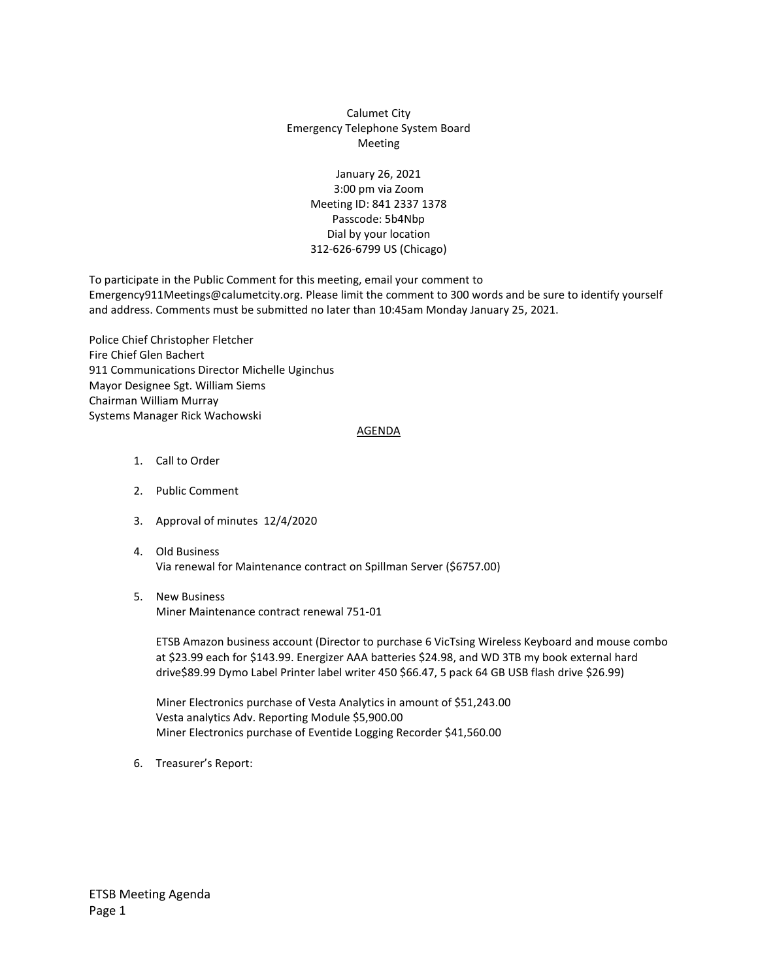## Calumet City Emergency Telephone System Board Meeting

January 26, 2021 3:00 pm via Zoom Meeting ID: 841 2337 1378 Passcode: 5b4Nbp Dial by your location 312-626-6799 US (Chicago)

To participate in the Public Comment for this meeting, email your comment to Emergency911Meetings@calumetcity.org. Please limit the comment to 300 words and be sure to identify yourself and address. Comments must be submitted no later than 10:45am Monday January 25, 2021.

Police Chief Christopher Fletcher Fire Chief Glen Bachert 911 Communications Director Michelle Uginchus Mayor Designee Sgt. William Siems Chairman William Murray Systems Manager Rick Wachowski

## AGENDA

- 1. Call to Order
- 2. Public Comment
- 3. Approval of minutes 12/4/2020
- 4. Old Business Via renewal for Maintenance contract on Spillman Server (\$6757.00)
- 5. New Business Miner Maintenance contract renewal 751-01

ETSB Amazon business account (Director to purchase 6 VicTsing Wireless Keyboard and mouse combo at \$23.99 each for \$143.99. Energizer AAA batteries \$24.98, and WD 3TB my book external hard drive\$89.99 Dymo Label Printer label writer 450 \$66.47, 5 pack 64 GB USB flash drive \$26.99)

Miner Electronics purchase of Vesta Analytics in amount of \$51,243.00 Vesta analytics Adv. Reporting Module \$5,900.00 Miner Electronics purchase of Eventide Logging Recorder \$41,560.00

6. Treasurer's Report: